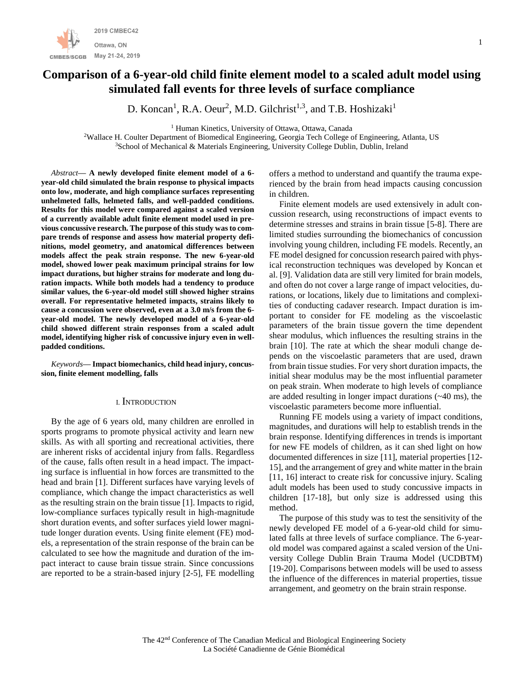

# **Comparison of a 6-year-old child finite element model to a scaled adult model using simulated fall events for three levels of surface compliance**

D. Koncan<sup>1</sup>, R.A. Oeur<sup>2</sup>, M.D. Gilchrist<sup>1,3</sup>, and T.B. Hoshizaki<sup>1</sup>

<sup>1</sup> Human Kinetics, University of Ottawa, Ottawa, Canada

<sup>2</sup>Wallace H. Coulter Department of Biomedical Engineering, Georgia Tech College of Engineering, Atlanta, US <sup>3</sup>School of Mechanical & Materials Engineering, University College Dublin, Dublin, Ireland

*Abstract***— A newly developed finite element model of a 6 year-old child simulated the brain response to physical impacts onto low, moderate, and high compliance surfaces representing unhelmeted falls, helmeted falls, and well-padded conditions. Results for this model were compared against a scaled version of a currently available adult finite element model used in previous concussive research. The purpose of this study was to compare trends of response and assess how material property definitions, model geometry, and anatomical differences between models affect the peak strain response. The new 6-year-old model, showed lower peak maximum principal strains for low impact durations, but higher strains for moderate and long duration impacts. While both models had a tendency to produce similar values, the 6-year-old model still showed higher strains overall. For representative helmeted impacts, strains likely to cause a concussion were observed, even at a 3.0 m/s from the 6 year-old model. The newly developed model of a 6-year-old child showed different strain responses from a scaled adult model, identifying higher risk of concussive injury even in wellpadded conditions.**

*Keywords***— Impact biomechanics, child head injury, concussion, finite element modelling, falls**

## I. INTRODUCTION

By the age of 6 years old, many children are enrolled in sports programs to promote physical activity and learn new skills. As with all sporting and recreational activities, there are inherent risks of accidental injury from falls. Regardless of the cause, falls often result in a head impact. The impacting surface is influential in how forces are transmitted to the head and brain [1]. Different surfaces have varying levels of compliance, which change the impact characteristics as well as the resulting strain on the brain tissue [1]. Impacts to rigid, low-compliance surfaces typically result in high-magnitude short duration events, and softer surfaces yield lower magnitude longer duration events. Using finite element (FE) models, a representation of the strain response of the brain can be calculated to see how the magnitude and duration of the impact interact to cause brain tissue strain. Since concussions are reported to be a strain-based injury [2-5], FE modelling offers a method to understand and quantify the trauma experienced by the brain from head impacts causing concussion in children.

Finite element models are used extensively in adult concussion research, using reconstructions of impact events to determine stresses and strains in brain tissue [5-8]. There are limited studies surrounding the biomechanics of concussion involving young children, including FE models. Recently, an FE model designed for concussion research paired with physical reconstruction techniques was developed by Koncan et al. [9]. Validation data are still very limited for brain models, and often do not cover a large range of impact velocities, durations, or locations, likely due to limitations and complexities of conducting cadaver research. Impact duration is important to consider for FE modeling as the viscoelastic parameters of the brain tissue govern the time dependent shear modulus, which influences the resulting strains in the brain [10]. The rate at which the shear moduli change depends on the viscoelastic parameters that are used, drawn from brain tissue studies. For very short duration impacts, the initial shear modulus may be the most influential parameter on peak strain. When moderate to high levels of compliance are added resulting in longer impact durations (~40 ms), the viscoelastic parameters become more influential.

Running FE models using a variety of impact conditions, magnitudes, and durations will help to establish trends in the brain response. Identifying differences in trends is important for new FE models of children, as it can shed light on how documented differences in size [11], material properties [12- 15], and the arrangement of grey and white matter in the brain [11, 16] interact to create risk for concussive injury. Scaling adult models has been used to study concussive impacts in children [17-18], but only size is addressed using this method.

The purpose of this study was to test the sensitivity of the newly developed FE model of a 6-year-old child for simulated falls at three levels of surface compliance. The 6-yearold model was compared against a scaled version of the University College Dublin Brain Trauma Model (UCDBTM) [19-20]. Comparisons between models will be used to assess the influence of the differences in material properties, tissue arrangement, and geometry on the brain strain response.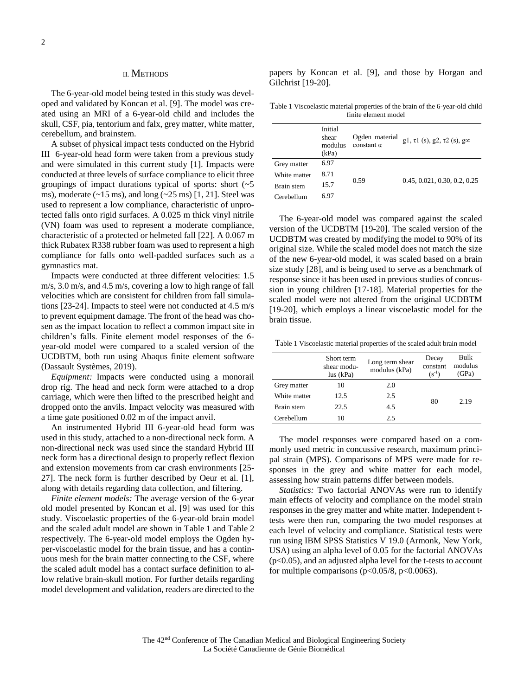## II. METHODS

The 6-year-old model being tested in this study was developed and validated by Koncan et al. [9]. The model was created using an MRI of a 6-year-old child and includes the skull, CSF, pia, tentorium and falx, grey matter, white matter, cerebellum, and brainstem.

A subset of physical impact tests conducted on the Hybrid III 6-year-old head form were taken from a previous study and were simulated in this current study [1]. Impacts were conducted at three levels of surface compliance to elicit three groupings of impact durations typical of sports: short  $($   $\sim$  5 ms), moderate  $(\sim 15 \text{ ms})$ , and long  $(\sim 25 \text{ ms})$  [1, 21]. Steel was used to represent a low compliance, characteristic of unprotected falls onto rigid surfaces. A 0.025 m thick vinyl nitrile (VN) foam was used to represent a moderate compliance, characteristic of a protected or helmeted fall [22]. A 0.067 m thick Rubatex R338 rubber foam was used to represent a high compliance for falls onto well-padded surfaces such as a gymnastics mat.

Impacts were conducted at three different velocities: 1.5 m/s, 3.0 m/s, and 4.5 m/s, covering a low to high range of fall velocities which are consistent for children from fall simulations [23-24]. Impacts to steel were not conducted at 4.5 m/s to prevent equipment damage. The front of the head was chosen as the impact location to reflect a common impact site in children's falls. Finite element model responses of the 6 year-old model were compared to a scaled version of the UCDBTM, both run using Abaqus finite element software (Dassault Systèmes, 2019).

*Equipment:* Impacts were conducted using a monorail drop rig. The head and neck form were attached to a drop carriage, which were then lifted to the prescribed height and dropped onto the anvils. Impact velocity was measured with a time gate positioned 0.02 m of the impact anvil.

An instrumented Hybrid III 6-year-old head form was used in this study, attached to a non-directional neck form. A non-directional neck was used since the standard Hybrid III neck form has a directional design to properly reflect flexion and extension movements from car crash environments [25- 27]. The neck form is further described by Oeur et al. [1], along with details regarding data collection, and filtering.

*Finite element models:* The average version of the 6-year old model presented by Koncan et al. [9] was used for this study. Viscoelastic properties of the 6-year-old brain model and the scaled adult model are shown in Table 1 and Table 2 respectively. The 6-year-old model employs the Ogden hyper-viscoelastic model for the brain tissue, and has a continuous mesh for the brain matter connecting to the CSF, where the scaled adult model has a contact surface definition to allow relative brain-skull motion. For further details regarding model development and validation, readers are directed to the

papers by Koncan et al. [9], and those by Horgan and Gilchrist [19-20].

Table 1 Viscoelastic material properties of the brain of the 6-year-old child finite element model

|              | Initial<br>shear<br>modulus<br>(kPa) | Ogden material<br>constant $\alpha$ | g1, $\tau$ 1 (s), g2, $\tau$ 2 (s), g $\infty$ |  |  |
|--------------|--------------------------------------|-------------------------------------|------------------------------------------------|--|--|
| Grey matter  | 6.97                                 |                                     |                                                |  |  |
| White matter | 8.71                                 |                                     |                                                |  |  |
| Brain stem   | 15.7                                 | 0.59                                | 0.45, 0.021, 0.30, 0.2, 0.25                   |  |  |
| Cerebellum   | 6.97                                 |                                     |                                                |  |  |

The 6-year-old model was compared against the scaled version of the UCDBTM [19-20]. The scaled version of the UCDBTM was created by modifying the model to 90% of its original size. While the scaled model does not match the size of the new 6-year-old model, it was scaled based on a brain size study [28], and is being used to serve as a benchmark of response since it has been used in previous studies of concussion in young children [17-18]. Material properties for the scaled model were not altered from the original UCDBTM [19-20], which employs a linear viscoelastic model for the brain tissue.

Table 1 Viscoelastic material properties of the scaled adult brain model

|              | Short term<br>shear modu-<br>lus (kPa) | Long term shear<br>modulus (kPa) | Decay<br>constant<br>$(s^{-1})$ | Bulk<br>modulus<br>(GPa) |
|--------------|----------------------------------------|----------------------------------|---------------------------------|--------------------------|
| Grey matter  | 10                                     | 2.0                              |                                 | 2.19                     |
| White matter | 12.5                                   | 2.5                              |                                 |                          |
| Brain stem   | 22.5                                   | 4.5                              | 80                              |                          |
| Cerebellum   | 10                                     | 2.5                              |                                 |                          |

The model responses were compared based on a commonly used metric in concussive research, maximum principal strain (MPS). Comparisons of MPS were made for responses in the grey and white matter for each model, assessing how strain patterns differ between models.

*Statistics:* Two factorial ANOVAs were run to identify main effects of velocity and compliance on the model strain responses in the grey matter and white matter. Independent ttests were then run, comparing the two model responses at each level of velocity and compliance. Statistical tests were run using IBM SPSS Statistics V 19.0 (Armonk, New York, USA) using an alpha level of 0.05 for the factorial ANOVAs (p<0.05), and an adjusted alpha level for the t-tests to account for multiple comparisons ( $p<0.05/8$ ,  $p<0.0063$ ).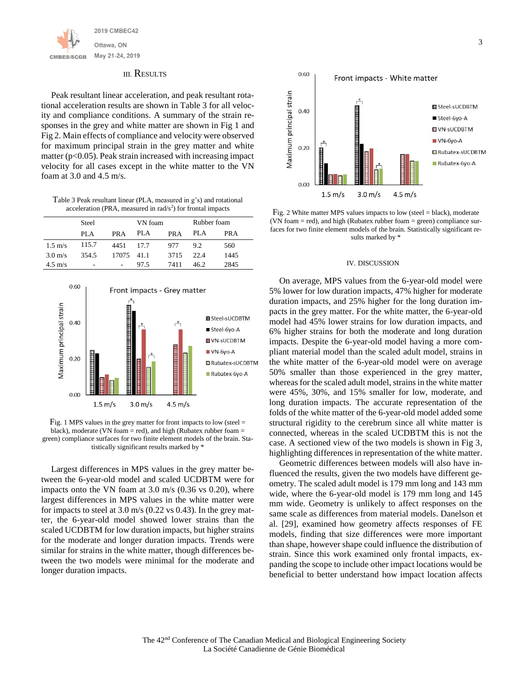

#### III. RESULTS

Peak resultant linear acceleration, and peak resultant rotational acceleration results are shown in Table 3 for all velocity and compliance conditions. A summary of the strain responses in the grey and white matter are shown in Fig 1 and Fig 2. Main effects of compliance and velocity were observed for maximum principal strain in the grey matter and white matter  $(p<0.05)$ . Peak strain increased with increasing impact velocity for all cases except in the white matter to the VN foam at 3.0 and 4.5 m/s.

Table 3 Peak resultant linear (PLA, measured in g's) and rotational acceleration (PRA, measured in  $rad/s<sup>2</sup>$ ) for frontal impacts

|                   | Steel |                          | VN foam |      | Rubber foam |      |
|-------------------|-------|--------------------------|---------|------|-------------|------|
|                   | PLA   | PR A                     | PLA     | PR A | PLA         | PR A |
| $1.5 \text{ m/s}$ | 115.7 | 4451                     | 17.7    | 977  | 9.2         | 560  |
| $3.0 \text{ m/s}$ | 354.5 | 17075 41.1               |         | 3715 | 22.4        | 1445 |
| $4.5 \text{ m/s}$ | ٠     | $\overline{\phantom{a}}$ | 97.5    | 7411 | 46.2        | 2845 |



Fig. 1 MPS values in the grey matter for front impacts to low (steel = black), moderate (VN foam = red), and high (Rubatex rubber foam = green) compliance surfaces for two finite element models of the brain. Statistically significant results marked by \*

Largest differences in MPS values in the grey matter between the 6-year-old model and scaled UCDBTM were for impacts onto the VN foam at 3.0 m/s (0.36 vs 0.20), where largest differences in MPS values in the white matter were for impacts to steel at  $3.0 \text{ m/s}$  (0.22 vs 0.43). In the grey matter, the 6-year-old model showed lower strains than the scaled UCDBTM for low duration impacts, but higher strains for the moderate and longer duration impacts. Trends were similar for strains in the white matter, though differences between the two models were minimal for the moderate and longer duration impacts.



Fig. 2 White matter MPS values impacts to low (steel = black), moderate (VN foam = red), and high (Rubatex rubber foam = green) compliance surfaces for two finite element models of the brain. Statistically significant results marked by \*

#### IV. DISCUSSION

On average, MPS values from the 6-year-old model were 5% lower for low duration impacts, 47% higher for moderate duration impacts, and 25% higher for the long duration impacts in the grey matter. For the white matter, the 6-year-old model had 45% lower strains for low duration impacts, and 6% higher strains for both the moderate and long duration impacts. Despite the 6-year-old model having a more compliant material model than the scaled adult model, strains in the white matter of the 6-year-old model were on average 50% smaller than those experienced in the grey matter, whereas for the scaled adult model, strains in the white matter were 45%, 30%, and 15% smaller for low, moderate, and long duration impacts. The accurate representation of the folds of the white matter of the 6-year-old model added some structural rigidity to the cerebrum since all white matter is connected, whereas in the scaled UCDBTM this is not the case. A sectioned view of the two models is shown in Fig 3, highlighting differences in representation of the white matter.

Geometric differences between models will also have influenced the results, given the two models have different geometry. The scaled adult model is 179 mm long and 143 mm wide, where the 6-year-old model is 179 mm long and 145 mm wide. Geometry is unlikely to affect responses on the same scale as differences from material models. Danelson et al. [29], examined how geometry affects responses of FE models, finding that size differences were more important than shape, however shape could influence the distribution of strain. Since this work examined only frontal impacts, expanding the scope to include other impact locations would be beneficial to better understand how impact location affects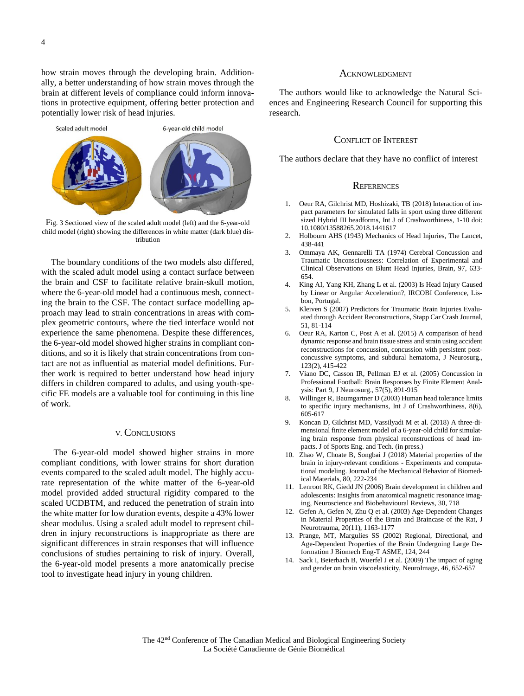how strain moves through the developing brain. Additionally, a better understanding of how strain moves through the brain at different levels of compliance could inform innovations in protective equipment, offering better protection and potentially lower risk of head injuries.



Fig. 3 Sectioned view of the scaled adult model (left) and the 6-year-old child model (right) showing the differences in white matter (dark blue) distribution

The boundary conditions of the two models also differed, with the scaled adult model using a contact surface between the brain and CSF to facilitate relative brain-skull motion, where the 6-year-old model had a continuous mesh, connecting the brain to the CSF. The contact surface modelling approach may lead to strain concentrations in areas with complex geometric contours, where the tied interface would not experience the same phenomena. Despite these differences, the 6-year-old model showed higher strains in compliant conditions, and so it is likely that strain concentrations from contact are not as influential as material model definitions. Further work is required to better understand how head injury differs in children compared to adults, and using youth-specific FE models are a valuable tool for continuing in this line of work.

# V. CONCLUSIONS

The 6-year-old model showed higher strains in more compliant conditions, with lower strains for short duration events compared to the scaled adult model. The highly accurate representation of the white matter of the 6-year-old model provided added structural rigidity compared to the scaled UCDBTM, and reduced the penetration of strain into the white matter for low duration events, despite a 43% lower shear modulus. Using a scaled adult model to represent children in injury reconstructions is inappropriate as there are significant differences in strain responses that will influence conclusions of studies pertaining to risk of injury. Overall, the 6-year-old model presents a more anatomically precise tool to investigate head injury in young children.

#### **ACKNOWLEDGMENT**

The authors would like to acknowledge the Natural Sciences and Engineering Research Council for supporting this research.

# CONFLICT OF INTEREST

The authors declare that they have no conflict of interest

### **REFERENCES**

- 1. Oeur RA, Gilchrist MD, Hoshizaki, TB (2018) Interaction of impact parameters for simulated falls in sport using three different sized Hybrid III headforms, Int J of Crashworthiness, 1-10 doi: 10.1080/13588265.2018.1441617
- 2. Holbourn AHS (1943) Mechanics of Head Injuries, The Lancet, 438-441
- 3. Ommaya AK, Gennarelli TA (1974) Cerebral Concussion and Traumatic Unconsciousness: Correlation of Experimental and Clinical Observations on Blunt Head Injuries, Brain, 97, 633- 654.
- 4. King AI, Yang KH, Zhang L et al. (2003) Is Head Injury Caused by Linear or Angular Acceleration?, IRCOBI Conference, Lisbon, Portugal.
- 5. Kleiven S (2007) Predictors for Traumatic Brain Injuries Evaluated through Accident Reconstructions, Stapp Car Crash Journal, 51, 81-114
- 6. Oeur RA, Karton C, Post A et al. (2015) A comparison of head dynamic response and brain tissue stress and strain using accident reconstructions for concussion, concussion with persistent postconcussive symptoms, and subdural hematoma, J Neurosurg., 123(2), 415-422
- 7. Viano DC, Casson IR, Pellman EJ et al. (2005) Concussion in Professional Football: Brain Responses by Finite Element Analysis: Part 9, J Neurosurg., 57(5), 891-915
- 8. Willinger R, Baumgartner D (2003) Human head tolerance limits to specific injury mechanisms, Int J of Crashworthiness, 8(6), 605-617
- 9. Koncan D, Gilchrist MD, Vassilyadi M et al. (2018) A three-dimensional finite element model of a 6-year-old child for simulating brain response from physical reconstructions of head impacts. J of Sports Eng. and Tech. (in press.)
- 10. Zhao W, Choate B, Songbai J (2018) Material properties of the brain in injury-relevant conditions - Experiments and computational modeling. Journal of the Mechanical Behavior of Biomedical Materials, 80, 222-234
- 11. Lenroot RK, Giedd JN (2006) Brain development in children and adolescents: Insights from anatomical magnetic resonance imaging, Neuroscience and Biobehavioural Reviews, 30, 718
- 12. Gefen A, Gefen N, Zhu Q et al. (2003) Age-Dependent Changes in Material Properties of the Brain and Braincase of the Rat, J Neurotrauma, 20(11), 1163-1177
- 13. Prange, MT, Margulies SS (2002) Regional, Directional, and Age-Dependent Properties of the Brain Undergoing Large Deformation J Biomech Eng-T ASME, 124, 244
- 14. Sack I, Beierbach B, Wuerfel J et al. (2009) The impact of aging and gender on brain viscoelasticity, NeuroImage, 46, 652-657